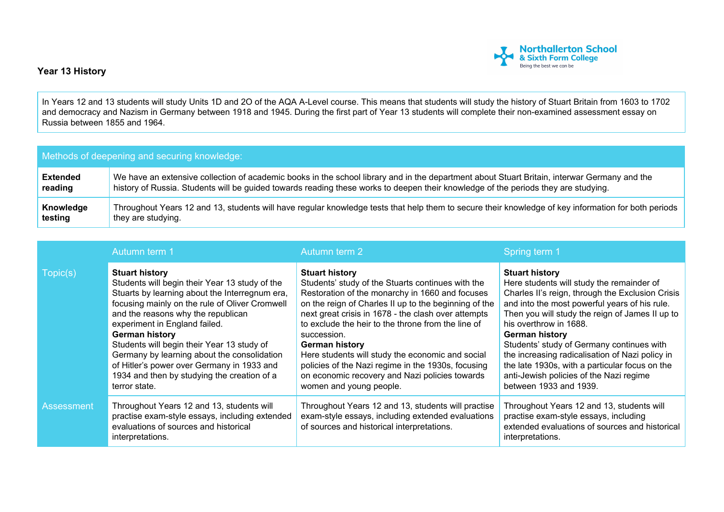

## **Year 13 History**

In Years 12 and 13 students will study Units 1D and 2O of the AQA A-Level course. This means that students will study the history of Stuart Britain from 1603 to 1702 and democracy and Nazism in Germany between 1918 and 1945. During the first part of Year 13 students will complete their non-examined assessment essay on Russia between 1855 and 1964.

| Methods of deepening and securing knowledge: |                                                                                                                                                     |  |  |  |
|----------------------------------------------|-----------------------------------------------------------------------------------------------------------------------------------------------------|--|--|--|
| <b>Extended</b>                              | We have an extensive collection of academic books in the school library and in the department about Stuart Britain, interwar Germany and the        |  |  |  |
| reading                                      | history of Russia. Students will be guided towards reading these works to deepen their knowledge of the periods they are studying.                  |  |  |  |
| Knowledge                                    | Throughout Years 12 and 13, students will have regular knowledge tests that help them to secure their knowledge of key information for both periods |  |  |  |
| testing                                      | they are studying.                                                                                                                                  |  |  |  |

|            | Autumn term 1                                                                                                                                                                                                                                                                                                                                                                                                                                                                   | Autumn term 2                                                                                                                                                                                                                                                                                                                                                                                                                                                                                                                      | Spring term 1                                                                                                                                                                                                                                                                                                                                                                                                                                                                                        |
|------------|---------------------------------------------------------------------------------------------------------------------------------------------------------------------------------------------------------------------------------------------------------------------------------------------------------------------------------------------------------------------------------------------------------------------------------------------------------------------------------|------------------------------------------------------------------------------------------------------------------------------------------------------------------------------------------------------------------------------------------------------------------------------------------------------------------------------------------------------------------------------------------------------------------------------------------------------------------------------------------------------------------------------------|------------------------------------------------------------------------------------------------------------------------------------------------------------------------------------------------------------------------------------------------------------------------------------------------------------------------------------------------------------------------------------------------------------------------------------------------------------------------------------------------------|
| Topic(s)   | <b>Stuart history</b><br>Students will begin their Year 13 study of the<br>Stuarts by learning about the Interregnum era,<br>focusing mainly on the rule of Oliver Cromwell<br>and the reasons why the republican<br>experiment in England failed.<br>German history<br>Students will begin their Year 13 study of<br>Germany by learning about the consolidation<br>of Hitler's power over Germany in 1933 and<br>1934 and then by studying the creation of a<br>terror state. | <b>Stuart history</b><br>Students' study of the Stuarts continues with the<br>Restoration of the monarchy in 1660 and focuses<br>on the reign of Charles II up to the beginning of the<br>next great crisis in 1678 - the clash over attempts<br>to exclude the heir to the throne from the line of<br>succession.<br><b>German history</b><br>Here students will study the economic and social<br>policies of the Nazi regime in the 1930s, focusing<br>on economic recovery and Nazi policies towards<br>women and young people. | <b>Stuart history</b><br>Here students will study the remainder of<br>Charles II's reign, through the Exclusion Crisis<br>and into the most powerful years of his rule.<br>Then you will study the reign of James II up to<br>his overthrow in 1688.<br><b>German history</b><br>Students' study of Germany continues with<br>the increasing radicalisation of Nazi policy in<br>the late 1930s, with a particular focus on the<br>anti-Jewish policies of the Nazi regime<br>between 1933 and 1939. |
| Assessment | Throughout Years 12 and 13, students will<br>practise exam-style essays, including extended<br>evaluations of sources and historical<br>interpretations.                                                                                                                                                                                                                                                                                                                        | Throughout Years 12 and 13, students will practise<br>exam-style essays, including extended evaluations<br>of sources and historical interpretations.                                                                                                                                                                                                                                                                                                                                                                              | Throughout Years 12 and 13, students will<br>practise exam-style essays, including<br>extended evaluations of sources and historical<br>interpretations.                                                                                                                                                                                                                                                                                                                                             |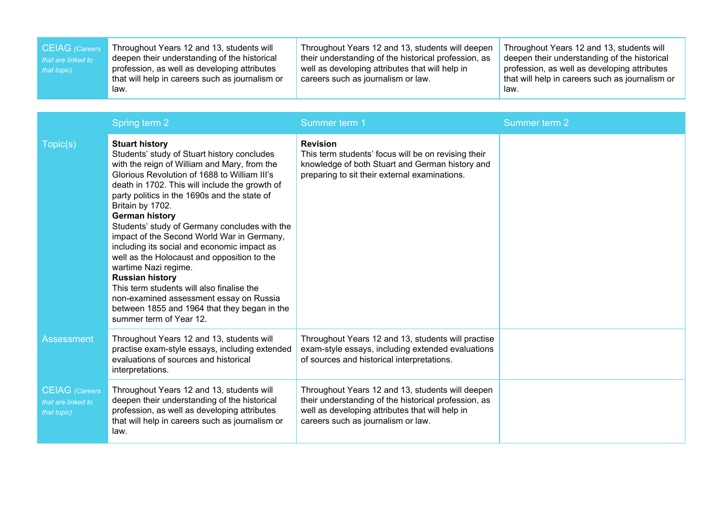| <b>CEIAG</b> (Careers<br>that are linked to<br>that topic) | Throughout Years 12 and 13, students will<br>deepen their understanding of the historical<br>profession, as well as developing attributes<br>that will help in careers such as journalism or<br>law.                                                                                                                                                                                                                                                                                                                                                                                                                                                                                                                                  | Throughout Years 12 and 13, students will deepen<br>their understanding of the historical profession, as<br>well as developing attributes that will help in<br>careers such as journalism or law. | Throughout Years 12 and 13, students will<br>deepen their understanding of the historical<br>profession, as well as developing attributes<br>that will help in careers such as journalism or<br>law. |
|------------------------------------------------------------|---------------------------------------------------------------------------------------------------------------------------------------------------------------------------------------------------------------------------------------------------------------------------------------------------------------------------------------------------------------------------------------------------------------------------------------------------------------------------------------------------------------------------------------------------------------------------------------------------------------------------------------------------------------------------------------------------------------------------------------|---------------------------------------------------------------------------------------------------------------------------------------------------------------------------------------------------|------------------------------------------------------------------------------------------------------------------------------------------------------------------------------------------------------|
|                                                            |                                                                                                                                                                                                                                                                                                                                                                                                                                                                                                                                                                                                                                                                                                                                       |                                                                                                                                                                                                   |                                                                                                                                                                                                      |
|                                                            | Spring term 2                                                                                                                                                                                                                                                                                                                                                                                                                                                                                                                                                                                                                                                                                                                         | Summer term 1                                                                                                                                                                                     | Summer term 2                                                                                                                                                                                        |
| Topic(s)                                                   | <b>Stuart history</b><br>Students' study of Stuart history concludes<br>with the reign of William and Mary, from the<br>Glorious Revolution of 1688 to William III's<br>death in 1702. This will include the growth of<br>party politics in the 1690s and the state of<br>Britain by 1702.<br><b>German history</b><br>Students' study of Germany concludes with the<br>impact of the Second World War in Germany,<br>including its social and economic impact as<br>well as the Holocaust and opposition to the<br>wartime Nazi regime.<br><b>Russian history</b><br>This term students will also finalise the<br>non-examined assessment essay on Russia<br>between 1855 and 1964 that they began in the<br>summer term of Year 12. | <b>Revision</b><br>This term students' focus will be on revising their<br>knowledge of both Stuart and German history and<br>preparing to sit their external examinations.                        |                                                                                                                                                                                                      |
| <b>Assessment</b>                                          | Throughout Years 12 and 13, students will<br>practise exam-style essays, including extended<br>evaluations of sources and historical<br>interpretations.                                                                                                                                                                                                                                                                                                                                                                                                                                                                                                                                                                              | Throughout Years 12 and 13, students will practise<br>exam-style essays, including extended evaluations<br>of sources and historical interpretations.                                             |                                                                                                                                                                                                      |
| <b>CEIAG</b> (Careers<br>that are linked to<br>that topic) | Throughout Years 12 and 13, students will<br>deepen their understanding of the historical<br>profession, as well as developing attributes<br>that will help in careers such as journalism or<br>law.                                                                                                                                                                                                                                                                                                                                                                                                                                                                                                                                  | Throughout Years 12 and 13, students will deepen<br>their understanding of the historical profession, as<br>well as developing attributes that will help in<br>careers such as journalism or law. |                                                                                                                                                                                                      |